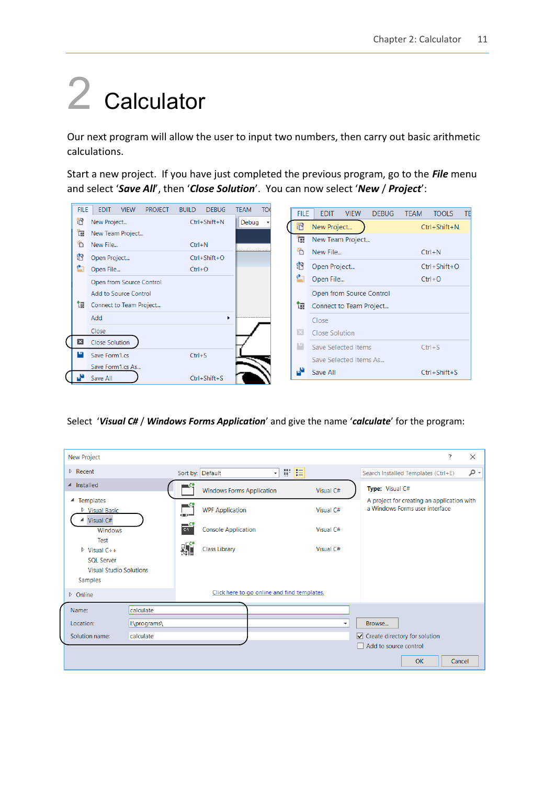## 2 Calculator

Our next program will allow the user to input two numbers, then carry out basic arithmetic calculations.

Start a new project. If you have just completed the previous program, go to the *File* menu and select '*Save All*', then '*Close Solution*'. You can now select '*New* / *Project*':



## Select '*Visual C#* / *Windows Forms Application*' and give the name '*calculate*' for the program:

| <b>New Project</b>                                                                       |                                                                      |                                             |                 | ?                                                                            | $\times$ |
|------------------------------------------------------------------------------------------|----------------------------------------------------------------------|---------------------------------------------|-----------------|------------------------------------------------------------------------------|----------|
| $\triangleright$ Recent                                                                  | Sort by: Default                                                     | 計目<br>۰                                     |                 | Search Installed Templates (Ctrl+E)                                          | - م      |
| $\blacktriangle$ Installed                                                               | <b>Windows Forms Application</b>                                     | Visual C#                                   | Type: Visual C# |                                                                              |          |
| $\blacktriangle$ Templates<br>▷ Visual Basic<br>Visual C#                                | <b>WPF Application</b><br>èn-                                        | Visual C#                                   |                 | A project for creating an application with<br>a Windows Forms user interface |          |
| Windows                                                                                  | $\overline{\mathbf{a}^{\mathbf{c}^*}}$<br><b>Console Application</b> | Visual C#                                   |                 |                                                                              |          |
| Test<br>$V$ Visual C++<br><b>SOL Server</b><br><b>Visual Studio Solutions</b><br>Samples | Ai'<br><b>Class Library</b>                                          | Visual C#                                   |                 |                                                                              |          |
| $\triangleright$ Online                                                                  |                                                                      | Click here to go online and find templates. |                 |                                                                              |          |
| calculate<br>Name:                                                                       |                                                                      |                                             |                 |                                                                              |          |
| Location:<br>l:\programs\                                                                |                                                                      |                                             | Browse<br>۰     |                                                                              |          |
| Solution name:<br>calculate                                                              |                                                                      |                                             |                 | $\triangleright$ Create directory for solution<br>Add to source control      |          |
|                                                                                          |                                                                      |                                             |                 | OK                                                                           | Cancel   |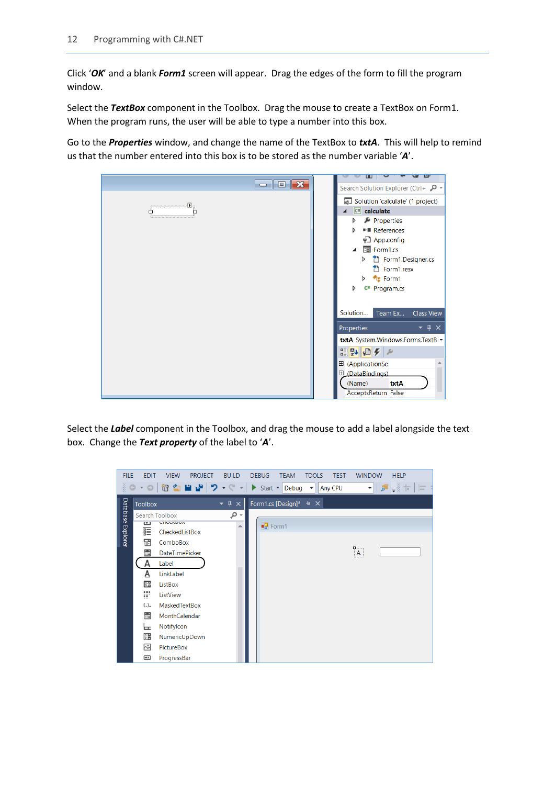Click '*OK*' and a blank *Form1* screen will appear. Drag the edges of the form to fill the program window.

Select the **TextBox** component in the Toolbox. Drag the mouse to create a TextBox on Form1. When the program runs, the user will be able to type a number into this box.

Go to the *Properties* window, and change the name of the TextBox to *txtA*. This will help to remind us that the number entered into this box is to be stored as the number variable '*A*'.



Select the *Label* component in the Toolbox, and drag the mouse to add a label alongside the text box. Change the *Text property* of the label to '*A*'.

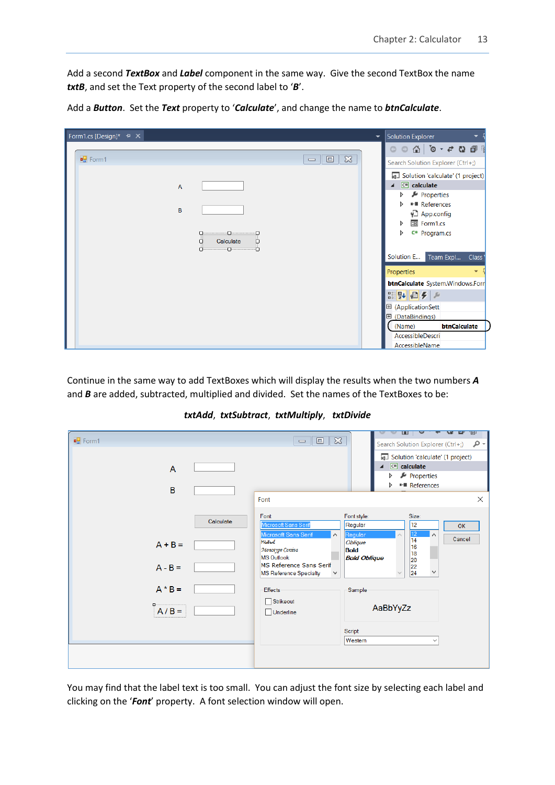Add a second *TextBox* and *Label* component in the same way. Give the second TextBox the name *txtB*, and set the Text property of the second label to '*B*'.

Add a *Button*. Set the *Text* property to '*Calculate*', and change the name to *btnCalculate*.

| Form1.cs [Design]* $\div X$                                                             | <b>Solution Explorer</b><br>▼                                                                                                                                                                                                                                                                                                                                                                                                                                                                                    |
|-----------------------------------------------------------------------------------------|------------------------------------------------------------------------------------------------------------------------------------------------------------------------------------------------------------------------------------------------------------------------------------------------------------------------------------------------------------------------------------------------------------------------------------------------------------------------------------------------------------------|
| $\Box$ Form1<br>A<br>В<br>$\Box$<br>P<br>P<br>$\frac{1}{3}$<br>Calculate<br>Œ<br>n<br>帀 | $\boxtimes$<br>$\Box$<br>$\qquad \qquad =$<br>Search Solution Explorer (Ctrl+;)<br>Solution 'calculate' (1 project)<br>$C#$ calculate<br>z<br>Properties<br>D<br><b>■ References</b><br>D<br>App.config<br>国 Form1.cs<br>D<br>C <sup>#</sup> Program.cs<br>D<br>Solution E<br>Team Expl<br>Class<br>Properties<br>$\overline{\phantom{a}}$<br><b>btnCalculate</b> System.Windows.Forn<br>■聖母のタッ<br>田 (ApplicationSett<br>田 (DataBindings)<br>(Name)<br><b>btnCalculate</b><br>AccessibleDescri<br>AccessibleName |

Continue in the same way to add TextBoxes which will display the results when the two numbers *A*  and **B** are added, subtracted, multiplied and divided. Set the names of the TextBoxes to be:

*txtAdd*, *txtSubtract*, *txtMultiply*, *txtDivide*

| $\frac{1}{2}$ Form1<br>$\overline{A}$<br>B                            | <b>AME LETT</b><br>"画"<br>پ<br>ш<br>$\overline{\boxtimes}$<br>$\Box$<br>$\qquad \qquad \qquad \Box$<br>Search Solution Explorer (Ctrl+;)<br>- م<br>Solution 'calculate' (1 project)<br>$C#$ calculate<br>Properties<br>ь<br><b>■</b> References<br>D<br>$\times$<br>Font                                                                                                                                                                                                                                                                                                     |
|-----------------------------------------------------------------------|------------------------------------------------------------------------------------------------------------------------------------------------------------------------------------------------------------------------------------------------------------------------------------------------------------------------------------------------------------------------------------------------------------------------------------------------------------------------------------------------------------------------------------------------------------------------------|
| Calculate<br>$A + B =$<br>$A - B =$<br>$A * B =$<br>$\Box$<br>$A/B =$ | Font<br>Size:<br>Font style:<br>Microsoft Sans Serif<br>Regular<br>12<br>OK<br>$\overline{12}$<br>Microsoft Sans Serif<br>$\land$<br>Regular<br>$\sim$<br>$\mathcal{N}_n$<br>Cancel<br>$\overline{14}$<br>Mistral<br>Oblique<br>16<br>Monotype Corsiva<br><b>Bold</b><br>18<br><b>MS Outlook</b><br><b>Bold Oblique</b><br>$\begin{array}{c}\n 20 \\ 22 \\ 24\n \end{array}$<br>MS Reference Sans Serif<br>v<br>MS Reference Specialty<br>$\checkmark$<br><b>Effects</b><br>Sample<br>Strikeout<br>AaBbYyZz<br><b>Underline</b><br><b>Script:</b><br>Western<br>$\checkmark$ |

You may find that the label text is too small. You can adjust the font size by selecting each label and clicking on the '*Font*' property. A font selection window will open.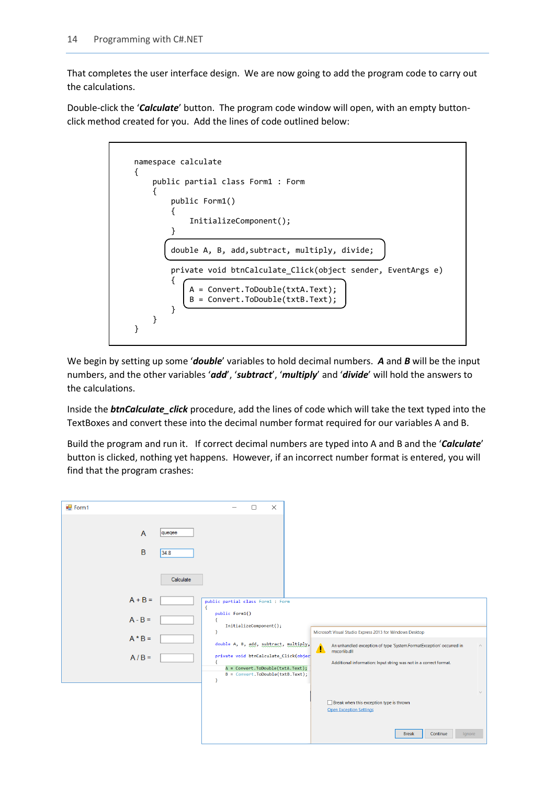That completes the user interface design. We are now going to add the program code to carry out the calculations.

Double-click the '*Calculate*' button. The program code window will open, with an empty buttonclick method created for you. Add the lines of code outlined below:



We begin by setting up some '*double*' variables to hold decimal numbers. *A* and *B* will be the input numbers, and the other variables '*add*', '*subtract*', '*multiply*' and '*divide*' will hold the answers to the calculations.

Inside the *btnCalculate\_click* procedure, add the lines of code which will take the text typed into the TextBoxes and convert these into the decimal number format required for our variables A and B.

Build the program and run it. If correct decimal numbers are typed into A and B and the '*Calculate*' button is clicked, nothing yet happens. However, if an incorrect number format is entered, you will find that the program crashes:

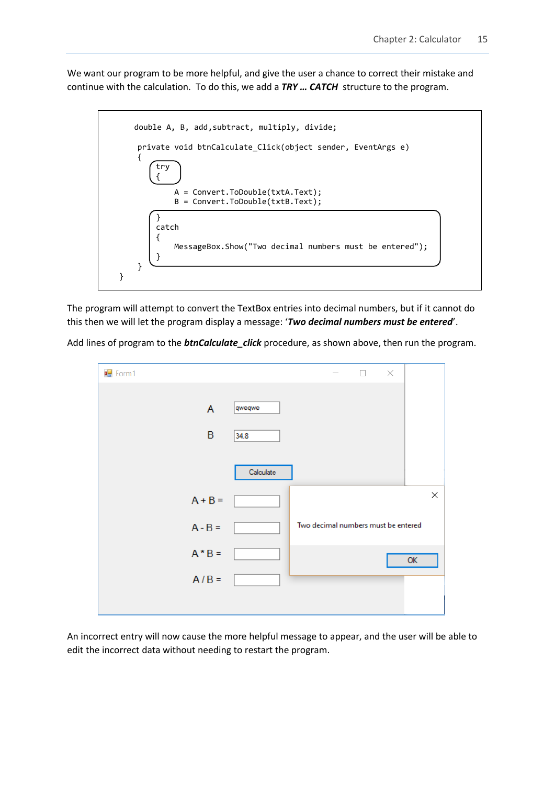We want our program to be more helpful, and give the user a chance to correct their mistake and continue with the calculation. To do this, we add a *TRY … CATCH* structure to the program.



The program will attempt to convert the TextBox entries into decimal numbers, but if it cannot do this then we will let the program display a message: '*Two decimal numbers must be entered*'.

Add lines of program to the **btnCalculate** click procedure, as shown above, then run the program.

| $\frac{1}{2}$ Form1 |           |                                     | $\Box$ | $\times$ |          |
|---------------------|-----------|-------------------------------------|--------|----------|----------|
| A                   | qweqwe    |                                     |        |          |          |
| B                   | 34.8      |                                     |        |          |          |
|                     | Calculate |                                     |        |          |          |
| $A + B =$           |           |                                     |        |          | $\times$ |
| $A - B =$           |           | Two decimal numbers must be entered |        |          |          |
| $A * B =$           |           |                                     |        |          | OK       |
| $A/B =$             |           |                                     |        |          |          |
|                     |           |                                     |        |          |          |

An incorrect entry will now cause the more helpful message to appear, and the user will be able to edit the incorrect data without needing to restart the program.